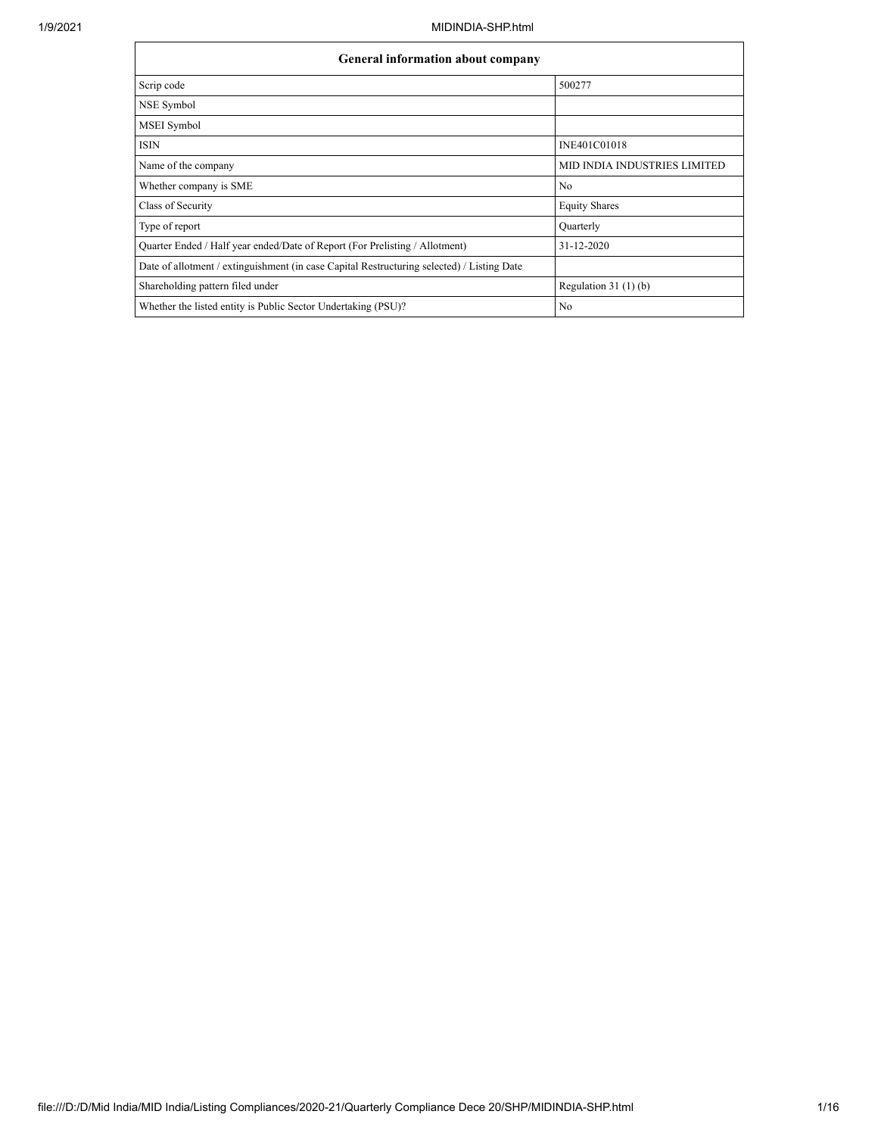| General information about company                                                          |                                     |  |  |  |  |  |  |  |
|--------------------------------------------------------------------------------------------|-------------------------------------|--|--|--|--|--|--|--|
| Scrip code                                                                                 | 500277                              |  |  |  |  |  |  |  |
| NSE Symbol                                                                                 |                                     |  |  |  |  |  |  |  |
| MSEI Symbol                                                                                |                                     |  |  |  |  |  |  |  |
| <b>ISIN</b>                                                                                | INE401C01018                        |  |  |  |  |  |  |  |
| Name of the company                                                                        | <b>MID INDIA INDUSTRIES LIMITED</b> |  |  |  |  |  |  |  |
| Whether company is SME                                                                     | No                                  |  |  |  |  |  |  |  |
| Class of Security                                                                          | <b>Equity Shares</b>                |  |  |  |  |  |  |  |
| Type of report                                                                             | Quarterly                           |  |  |  |  |  |  |  |
| Quarter Ended / Half year ended/Date of Report (For Prelisting / Allotment)                | 31-12-2020                          |  |  |  |  |  |  |  |
| Date of allotment / extinguishment (in case Capital Restructuring selected) / Listing Date |                                     |  |  |  |  |  |  |  |
| Shareholding pattern filed under                                                           | Regulation $31(1)(b)$               |  |  |  |  |  |  |  |
| Whether the listed entity is Public Sector Undertaking (PSU)?                              | No                                  |  |  |  |  |  |  |  |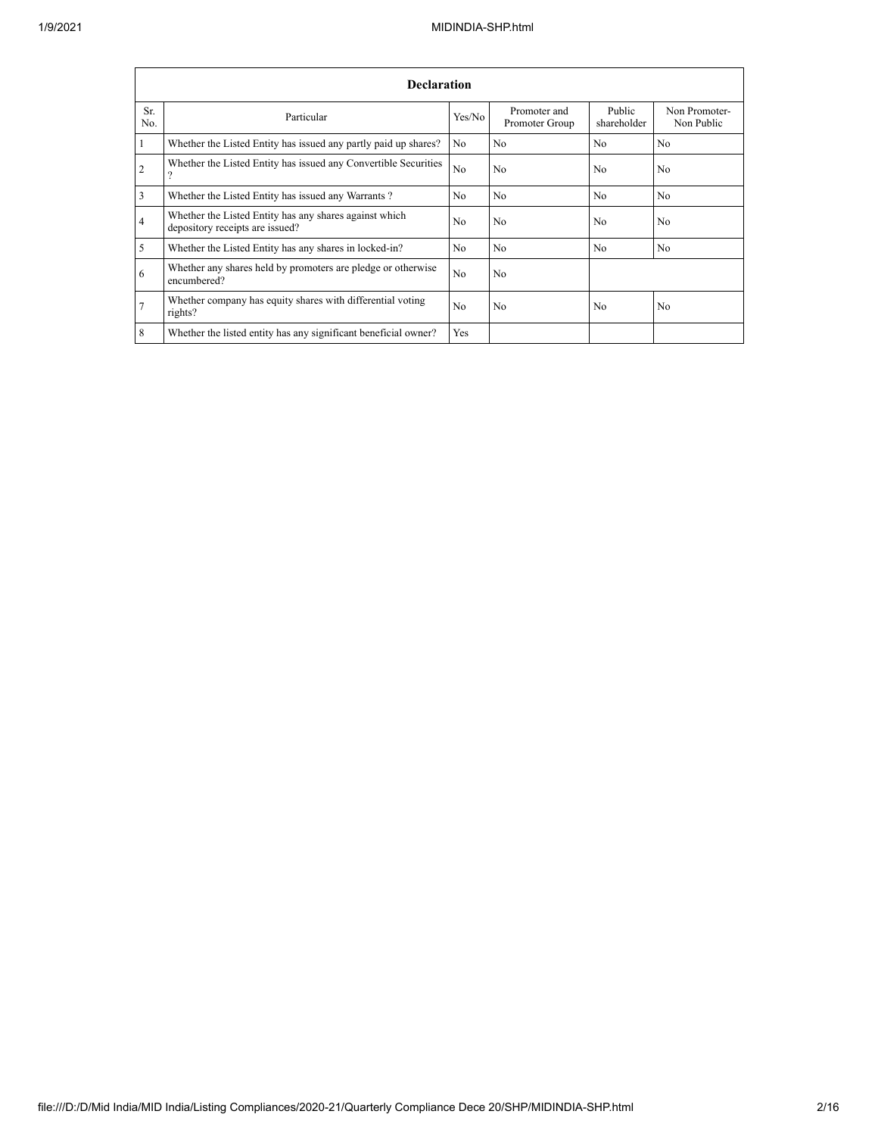|                | <b>Declaration</b>                                                                        |            |                                |                       |                             |  |  |  |  |  |  |
|----------------|-------------------------------------------------------------------------------------------|------------|--------------------------------|-----------------------|-----------------------------|--|--|--|--|--|--|
| Sr.<br>No.     | Particular                                                                                | Yes/No     | Promoter and<br>Promoter Group | Public<br>shareholder | Non Promoter-<br>Non Public |  |  |  |  |  |  |
| $\overline{1}$ | Whether the Listed Entity has issued any partly paid up shares?                           | No         | No                             | No.                   | No.                         |  |  |  |  |  |  |
| 2              | Whether the Listed Entity has issued any Convertible Securities<br>?                      | No         | No                             | N <sub>0</sub>        | N <sub>o</sub>              |  |  |  |  |  |  |
| $\overline{3}$ | Whether the Listed Entity has issued any Warrants?                                        | No         | No                             | N <sub>o</sub>        | N <sub>o</sub>              |  |  |  |  |  |  |
| $\overline{4}$ | Whether the Listed Entity has any shares against which<br>depository receipts are issued? | No         | No                             | N <sub>0</sub>        | N <sub>o</sub>              |  |  |  |  |  |  |
| $\overline{5}$ | Whether the Listed Entity has any shares in locked-in?                                    | No         | No                             | N <sub>0</sub>        | N <sub>o</sub>              |  |  |  |  |  |  |
| -6             | Whether any shares held by promoters are pledge or otherwise<br>encumbered?               | No         | No                             |                       |                             |  |  |  |  |  |  |
| 7              | Whether company has equity shares with differential voting<br>rights?                     | No         | No                             | N <sub>0</sub>        | N <sub>0</sub>              |  |  |  |  |  |  |
| 8              | Whether the listed entity has any significant beneficial owner?                           | <b>Yes</b> |                                |                       |                             |  |  |  |  |  |  |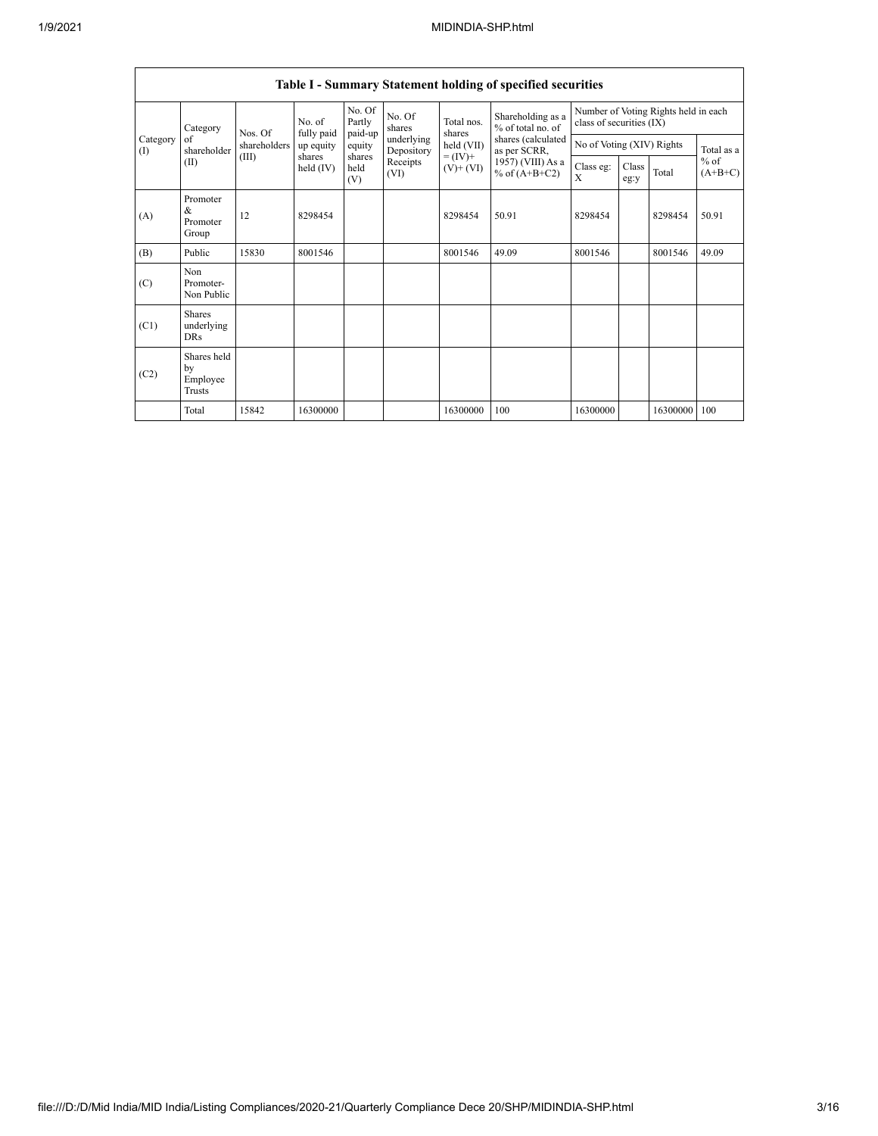|                 | Table I - Summary Statement holding of specified securities |              |                       |                             |                          |                              |                                        |                                                                  |               |          |                     |
|-----------------|-------------------------------------------------------------|--------------|-----------------------|-----------------------------|--------------------------|------------------------------|----------------------------------------|------------------------------------------------------------------|---------------|----------|---------------------|
|                 | Category                                                    | Nos. Of      | No. of<br>fully paid  | No. Of<br>Partly<br>paid-up | No. Of<br>shares         | Total nos.<br>shares         | Shareholding as a<br>% of total no. of | Number of Voting Rights held in each<br>class of securities (IX) |               |          |                     |
| Category<br>(1) | of<br>shareholder                                           | shareholders | up equity             | equity                      | underlying<br>Depository | held (VII)                   | shares (calculated<br>as per SCRR,     | No of Voting (XIV) Rights                                        |               |          | Total as a          |
| (II)            |                                                             | (III)        | shares<br>held $(IV)$ | shares<br>held<br>(V)       | Receipts<br>(VI)         | $= (IV) +$<br>$(V)$ + $(VI)$ | 1957) (VIII) As a<br>% of $(A+B+C2)$   | Class eg:<br>X                                                   | Class<br>eg:y | Total    | $%$ of<br>$(A+B+C)$ |
| (A)             | Promoter<br>&<br>Promoter<br>Group                          | 12           | 8298454               |                             |                          | 8298454                      | 50.91                                  | 8298454                                                          |               | 8298454  | 50.91               |
| (B)             | Public                                                      | 15830        | 8001546               |                             |                          | 8001546                      | 49.09                                  | 8001546                                                          |               | 8001546  | 49.09               |
| (C)             | Non<br>Promoter-<br>Non Public                              |              |                       |                             |                          |                              |                                        |                                                                  |               |          |                     |
| (C1)            | <b>Shares</b><br>underlying<br><b>DRs</b>                   |              |                       |                             |                          |                              |                                        |                                                                  |               |          |                     |
| (C2)            | Shares held<br>by<br>Employee<br><b>Trusts</b>              |              |                       |                             |                          |                              |                                        |                                                                  |               |          |                     |
|                 | Total                                                       | 15842        | 16300000              |                             |                          | 16300000                     | 100                                    | 16300000                                                         |               | 16300000 | 100                 |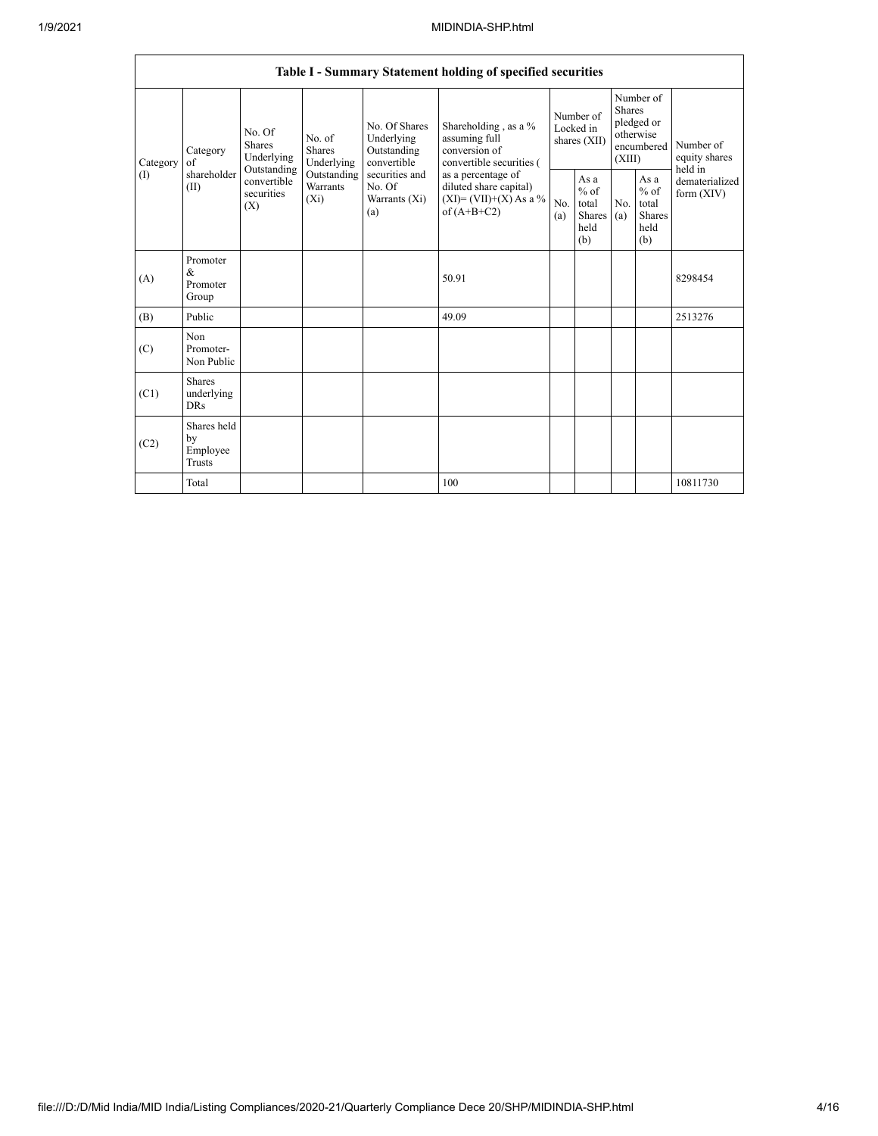|                 | Table I - Summary Statement holding of specified securities |                                                                                                                                                                  |                                                  |                                                                                            |                                                                                    |                                                  |            |                                                                        |                                |                                       |  |
|-----------------|-------------------------------------------------------------|------------------------------------------------------------------------------------------------------------------------------------------------------------------|--------------------------------------------------|--------------------------------------------------------------------------------------------|------------------------------------------------------------------------------------|--------------------------------------------------|------------|------------------------------------------------------------------------|--------------------------------|---------------------------------------|--|
| Category<br>(1) | Category<br>of<br>shareholder<br>(II)                       | No. Of<br>No. of<br>Shares<br>Shares<br>Underlying<br>Underlying<br>Outstanding<br>Outstanding<br>convertible<br><b>Warrants</b><br>securities<br>$(X_i)$<br>(X) |                                                  | No. Of Shares<br>Underlying<br>Outstanding<br>convertible                                  | Shareholding, as a %<br>assuming full<br>conversion of<br>convertible securities ( | Number of<br>Locked in<br>shares (XII)           |            | Number of<br>Shares<br>pledged or<br>otherwise<br>encumbered<br>(XIII) |                                | Number of<br>equity shares<br>held in |  |
|                 |                                                             |                                                                                                                                                                  | securities and<br>No. Of<br>Warrants (Xi)<br>(a) | as a percentage of<br>diluted share capital)<br>$(XI) = (VII)+(X) As a %$<br>of $(A+B+C2)$ | No.<br>(a)                                                                         | As a<br>$%$ of<br>total<br>Shares<br>held<br>(b) | No.<br>(a) | As a<br>$%$ of<br>total<br>Shares<br>held<br>(b)                       | dematerialized<br>form $(XIV)$ |                                       |  |
| (A)             | Promoter<br>$\&$<br>Promoter<br>Group                       |                                                                                                                                                                  |                                                  |                                                                                            | 50.91                                                                              |                                                  |            |                                                                        |                                | 8298454                               |  |
| (B)             | Public                                                      |                                                                                                                                                                  |                                                  |                                                                                            | 49.09                                                                              |                                                  |            |                                                                        |                                | 2513276                               |  |
| (C)             | Non<br>Promoter-<br>Non Public                              |                                                                                                                                                                  |                                                  |                                                                                            |                                                                                    |                                                  |            |                                                                        |                                |                                       |  |
| (C1)            | Shares<br>underlying<br><b>DRs</b>                          |                                                                                                                                                                  |                                                  |                                                                                            |                                                                                    |                                                  |            |                                                                        |                                |                                       |  |
| (C2)            | Shares held<br>by<br>Employee<br>Trusts                     |                                                                                                                                                                  |                                                  |                                                                                            |                                                                                    |                                                  |            |                                                                        |                                |                                       |  |
|                 | Total                                                       |                                                                                                                                                                  |                                                  |                                                                                            | 100                                                                                |                                                  |            |                                                                        |                                | 10811730                              |  |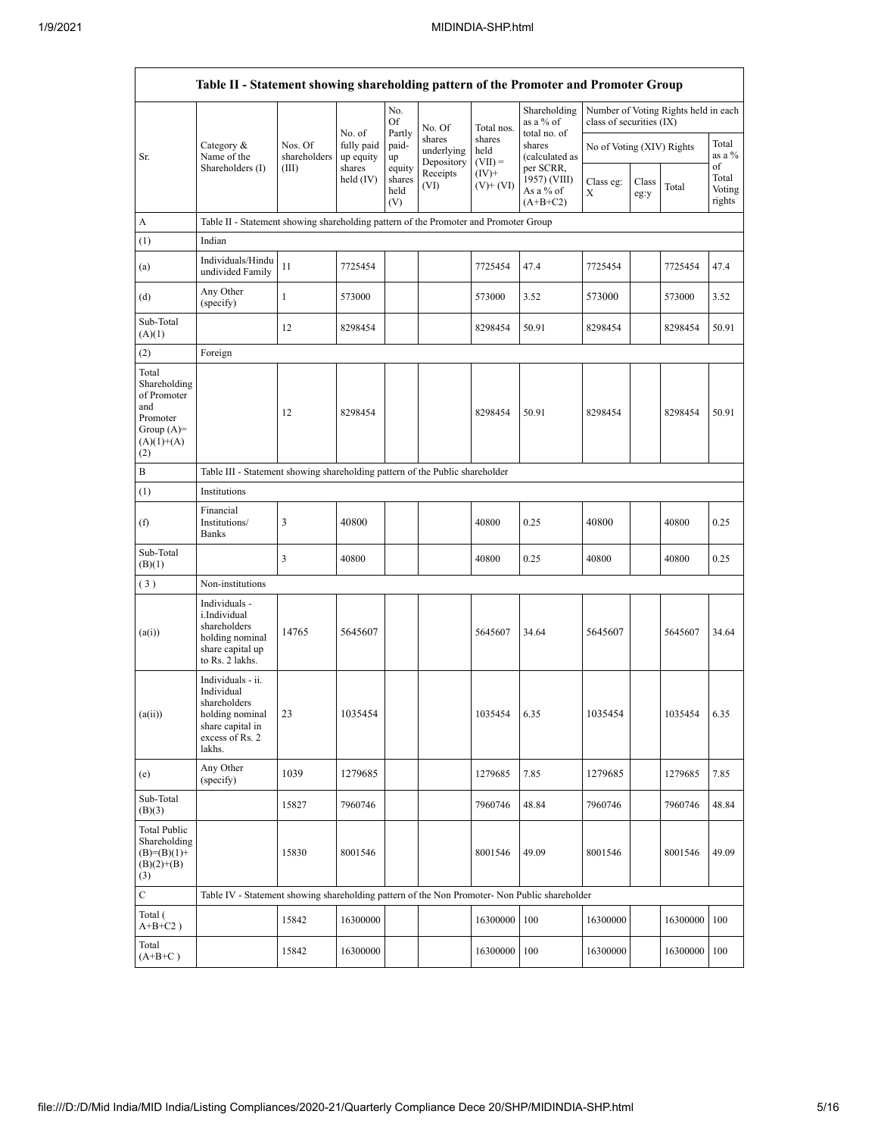|                                                                                                | Table II - Statement showing shareholding pattern of the Promoter and Promoter Group                                |                                                                              |                                   |                                 |                                    |                             |                                                      |                           |               |                                      |                           |
|------------------------------------------------------------------------------------------------|---------------------------------------------------------------------------------------------------------------------|------------------------------------------------------------------------------|-----------------------------------|---------------------------------|------------------------------------|-----------------------------|------------------------------------------------------|---------------------------|---------------|--------------------------------------|---------------------------|
|                                                                                                |                                                                                                                     |                                                                              |                                   | No.<br>Of                       | No. Of                             | Total nos.                  | Shareholding<br>as a % of                            | class of securities (IX)  |               | Number of Voting Rights held in each |                           |
| Sr.                                                                                            | Category &<br>Name of the                                                                                           | Nos. Of<br>shareholders                                                      | No. of<br>fully paid<br>up equity | Partly<br>paid-<br>up           | shares<br>underlying<br>Depository | shares<br>held<br>$(VII) =$ | total no. of<br>shares<br>(calculated as             | No of Voting (XIV) Rights |               |                                      | Total<br>as a %<br>of     |
|                                                                                                | Shareholders (I)                                                                                                    | (III)                                                                        | shares<br>held $(IV)$             | equity<br>shares<br>held<br>(V) | Receipts<br>(VI)                   | $(IV)+$<br>$(V)$ + $(V)$    | per SCRR,<br>1957) (VIII)<br>As a % of<br>$(A+B+C2)$ | Class eg:<br>X            | Class<br>eg:y | Total                                | Total<br>Voting<br>rights |
| A                                                                                              | Table II - Statement showing shareholding pattern of the Promoter and Promoter Group                                |                                                                              |                                   |                                 |                                    |                             |                                                      |                           |               |                                      |                           |
| (1)                                                                                            | Indian                                                                                                              |                                                                              |                                   |                                 |                                    |                             |                                                      |                           |               |                                      |                           |
| (a)                                                                                            | Individuals/Hindu<br>undivided Family                                                                               | 11                                                                           | 7725454                           |                                 |                                    | 7725454                     | 47.4                                                 | 7725454                   |               | 7725454                              | 47.4                      |
| (d)                                                                                            | Any Other<br>(specify)                                                                                              | $\mathbf{1}$                                                                 | 573000                            |                                 |                                    | 573000                      | 3.52                                                 | 573000                    |               | 573000                               | 3.52                      |
| Sub-Total<br>(A)(1)                                                                            |                                                                                                                     | 12                                                                           | 8298454                           |                                 |                                    | 8298454                     | 50.91                                                | 8298454                   |               | 8298454                              | 50.91                     |
| (2)                                                                                            | Foreign                                                                                                             |                                                                              |                                   |                                 |                                    |                             |                                                      |                           |               |                                      |                           |
| Total<br>Shareholding<br>of Promoter<br>and<br>Promoter<br>Group $(A)=$<br>$(A)(1)+(A)$<br>(2) |                                                                                                                     | 12                                                                           | 8298454                           |                                 |                                    | 8298454                     | 50.91                                                | 8298454                   |               | 8298454                              | 50.91                     |
| B                                                                                              |                                                                                                                     | Table III - Statement showing shareholding pattern of the Public shareholder |                                   |                                 |                                    |                             |                                                      |                           |               |                                      |                           |
| (1)                                                                                            | Institutions                                                                                                        |                                                                              |                                   |                                 |                                    |                             |                                                      |                           |               |                                      |                           |
| (f)                                                                                            | Financial<br>Institutions/<br>Banks                                                                                 | 3                                                                            | 40800                             |                                 |                                    | 40800                       | 0.25                                                 | 40800                     |               | 40800                                | 0.25                      |
| Sub-Total<br>(B)(1)                                                                            |                                                                                                                     | 3                                                                            | 40800                             |                                 |                                    | 40800                       | 0.25                                                 | 40800                     |               | 40800                                | 0.25                      |
| (3)                                                                                            | Non-institutions                                                                                                    |                                                                              |                                   |                                 |                                    |                             |                                                      |                           |               |                                      |                           |
| (a(i))                                                                                         | Individuals -<br>i.Individual<br>shareholders<br>holding nominal<br>share capital up<br>to Rs. 2 lakhs.             | 14765                                                                        | 5645607                           |                                 |                                    | 5645607                     | 34.64                                                | 5645607                   |               | 5645607                              | 34.64                     |
| (a(ii))                                                                                        | Individuals - ii.<br>Individual<br>shareholders<br>holding nominal<br>share capital in<br>excess of Rs. 2<br>lakhs. | 23                                                                           | 1035454                           |                                 |                                    | 1035454                     | 6.35                                                 | 1035454                   |               | 1035454                              | 635                       |
| (e)                                                                                            | Any Other<br>(specify)                                                                                              | 1039                                                                         | 1279685                           |                                 |                                    | 1279685                     | 7.85                                                 | 1279685                   |               | 1279685                              | 7.85                      |
| Sub-Total<br>(B)(3)                                                                            |                                                                                                                     | 15827                                                                        | 7960746                           |                                 |                                    | 7960746                     | 48.84                                                | 7960746                   |               | 7960746                              | 48.84                     |
| <b>Total Public</b><br>Shareholding<br>$(B)=(B)(1)+$<br>$(B)(2)+(B)$<br>(3)                    |                                                                                                                     | 15830                                                                        | 8001546                           |                                 |                                    | 8001546                     | 49.09                                                | 8001546                   |               | 8001546                              | 49.09                     |
| $\mathbf C$                                                                                    | Table IV - Statement showing shareholding pattern of the Non Promoter- Non Public shareholder                       |                                                                              |                                   |                                 |                                    |                             |                                                      |                           |               |                                      |                           |
| Total (<br>$A+B+C2$ )                                                                          |                                                                                                                     | 15842                                                                        | 16300000                          |                                 |                                    | 16300000                    | 100                                                  | 16300000                  |               | 16300000                             | 100                       |
| Total<br>$(A+B+C)$                                                                             |                                                                                                                     | 15842                                                                        | 16300000                          |                                 |                                    | 16300000                    | 100                                                  | 16300000                  |               | 16300000                             | 100                       |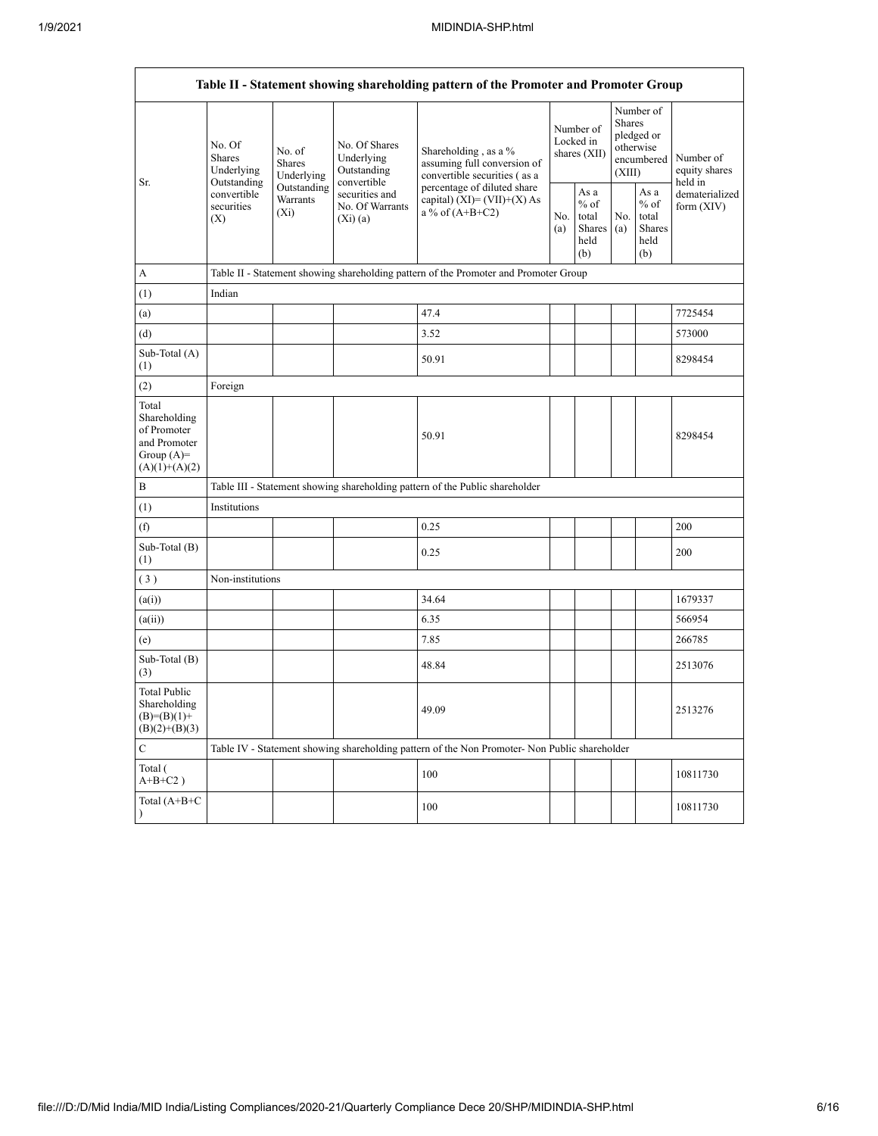h

|                                                                                         | Table II - Statement showing shareholding pattern of the Promoter and Promoter Group |                                                                                      |                                                                |                                                                                                                                                                           |  |                                                  |            |                                                                               |                                       |  |  |
|-----------------------------------------------------------------------------------------|--------------------------------------------------------------------------------------|--------------------------------------------------------------------------------------|----------------------------------------------------------------|---------------------------------------------------------------------------------------------------------------------------------------------------------------------------|--|--------------------------------------------------|------------|-------------------------------------------------------------------------------|---------------------------------------|--|--|
| Sr.                                                                                     | No. Of<br>Shares<br>Underlying                                                       | No. of<br><b>Shares</b><br>Underlying                                                | No. Of Shares<br>Underlying<br>Outstanding                     | Shareholding, as a %<br>assuming full conversion of<br>convertible securities (as a<br>percentage of diluted share<br>capital) $(XI) = (VII)+(X) As$<br>a % of $(A+B+C2)$ |  | Number of<br>Locked in<br>shares $(XII)$         |            | Number of<br><b>Shares</b><br>pledged or<br>otherwise<br>encumbered<br>(XIII) | Number of<br>equity shares<br>held in |  |  |
|                                                                                         | Outstanding<br>convertible<br>securities<br>(X)                                      | Outstanding<br>Warrants<br>$(X_i)$                                                   | convertible<br>securities and<br>No. Of Warrants<br>$(X_i)(a)$ |                                                                                                                                                                           |  | As a<br>$%$ of<br>total<br>Shares<br>held<br>(b) | No.<br>(a) | As a<br>$%$ of<br>total<br>Shares<br>held<br>(b)                              | dematerialized<br>form $(XIV)$        |  |  |
| A                                                                                       |                                                                                      | Table II - Statement showing shareholding pattern of the Promoter and Promoter Group |                                                                |                                                                                                                                                                           |  |                                                  |            |                                                                               |                                       |  |  |
| (1)                                                                                     | Indian                                                                               |                                                                                      |                                                                |                                                                                                                                                                           |  |                                                  |            |                                                                               |                                       |  |  |
| (a)                                                                                     |                                                                                      |                                                                                      |                                                                | 47.4                                                                                                                                                                      |  |                                                  |            |                                                                               | 7725454                               |  |  |
| (d)                                                                                     |                                                                                      |                                                                                      |                                                                | 3.52                                                                                                                                                                      |  |                                                  |            |                                                                               | 573000                                |  |  |
| Sub-Total (A)<br>(1)                                                                    |                                                                                      |                                                                                      |                                                                | 50.91                                                                                                                                                                     |  |                                                  |            |                                                                               | 8298454                               |  |  |
| (2)                                                                                     | Foreign                                                                              |                                                                                      |                                                                |                                                                                                                                                                           |  |                                                  |            |                                                                               |                                       |  |  |
| Total<br>Shareholding<br>of Promoter<br>and Promoter<br>Group $(A)=$<br>$(A)(1)+(A)(2)$ |                                                                                      |                                                                                      |                                                                | 50.91                                                                                                                                                                     |  |                                                  |            |                                                                               | 8298454                               |  |  |
| B                                                                                       |                                                                                      |                                                                                      |                                                                | Table III - Statement showing shareholding pattern of the Public shareholder                                                                                              |  |                                                  |            |                                                                               |                                       |  |  |
| (1)                                                                                     | Institutions                                                                         |                                                                                      |                                                                |                                                                                                                                                                           |  |                                                  |            |                                                                               |                                       |  |  |
| (f)                                                                                     |                                                                                      |                                                                                      |                                                                | 0.25                                                                                                                                                                      |  |                                                  |            |                                                                               | 200                                   |  |  |
| Sub-Total (B)<br>(1)                                                                    |                                                                                      |                                                                                      |                                                                | 0.25                                                                                                                                                                      |  |                                                  |            |                                                                               | 200                                   |  |  |
| (3)                                                                                     | Non-institutions                                                                     |                                                                                      |                                                                |                                                                                                                                                                           |  |                                                  |            |                                                                               |                                       |  |  |
| (a(i))                                                                                  |                                                                                      |                                                                                      |                                                                | 34.64                                                                                                                                                                     |  |                                                  |            |                                                                               | 1679337                               |  |  |
| (a(ii))                                                                                 |                                                                                      |                                                                                      |                                                                | 6.35                                                                                                                                                                      |  |                                                  |            |                                                                               | 566954                                |  |  |
| (e)                                                                                     |                                                                                      |                                                                                      |                                                                | 7.85                                                                                                                                                                      |  |                                                  |            |                                                                               | 266785                                |  |  |
| Sub-Total (B)<br>(3)                                                                    |                                                                                      |                                                                                      |                                                                | 48.84                                                                                                                                                                     |  |                                                  |            |                                                                               | 2513076                               |  |  |
| <b>Total Public</b><br>Shareholding<br>$(B)=(B)(1)+$<br>$(B)(2)+(B)(3)$                 |                                                                                      |                                                                                      |                                                                | 49.09                                                                                                                                                                     |  |                                                  |            |                                                                               | 2513276                               |  |  |
| $\mathbf C$                                                                             |                                                                                      |                                                                                      |                                                                | Table IV - Statement showing shareholding pattern of the Non Promoter- Non Public shareholder                                                                             |  |                                                  |            |                                                                               |                                       |  |  |
| Total (<br>$A+B+C2$ )                                                                   |                                                                                      |                                                                                      |                                                                | 100                                                                                                                                                                       |  |                                                  |            |                                                                               | 10811730                              |  |  |
| Total (A+B+C<br>$\lambda$                                                               |                                                                                      |                                                                                      |                                                                | 100                                                                                                                                                                       |  |                                                  |            |                                                                               | 10811730                              |  |  |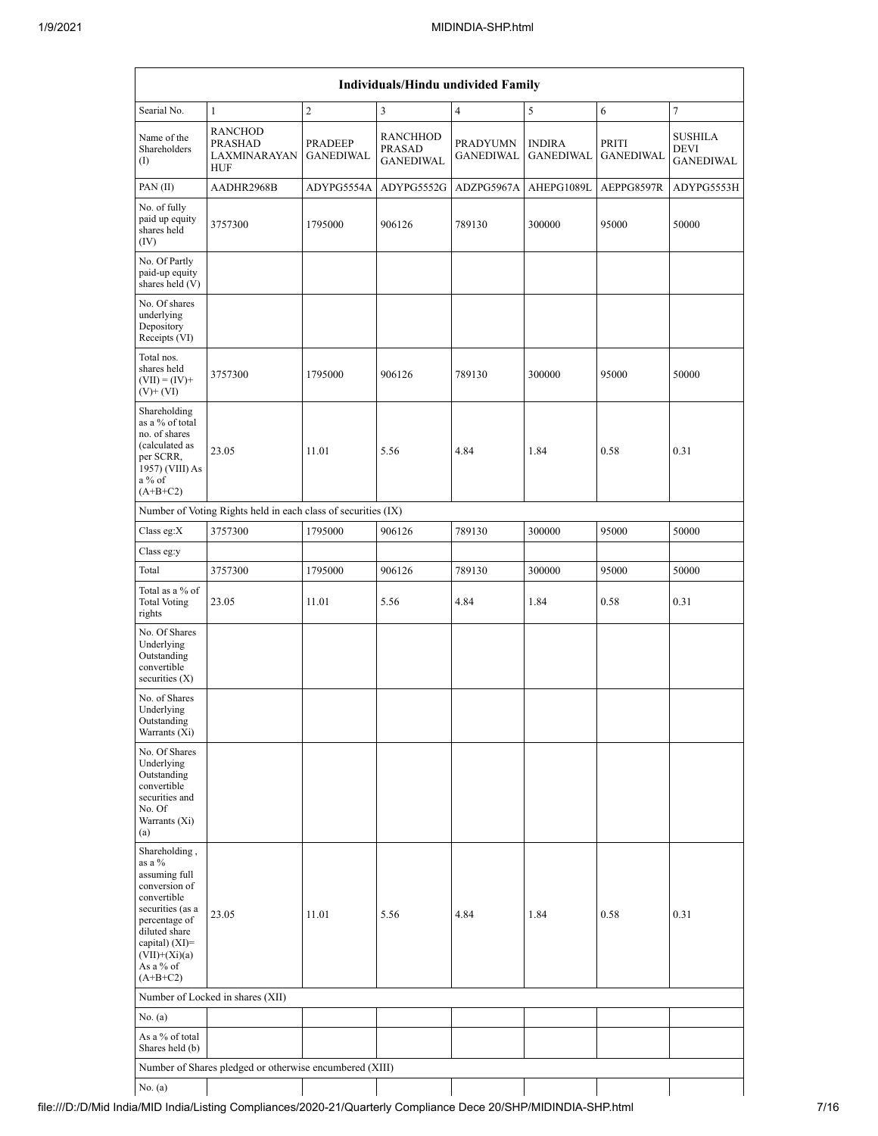| Individuals/Hindu undivided Family                                                                                                                                                             |                                                               |                             |                                                      |                                     |                                   |                           |                                                   |  |  |  |
|------------------------------------------------------------------------------------------------------------------------------------------------------------------------------------------------|---------------------------------------------------------------|-----------------------------|------------------------------------------------------|-------------------------------------|-----------------------------------|---------------------------|---------------------------------------------------|--|--|--|
| Searial No.                                                                                                                                                                                    | $\mathbf{1}$                                                  | $\overline{c}$              | 3                                                    | $\overline{4}$                      | 5                                 | 6                         | $\tau$                                            |  |  |  |
| Name of the<br>Shareholders<br>(I)                                                                                                                                                             | <b>RANCHOD</b><br>PRASHAD<br>LAXMINARAYAN<br><b>HUF</b>       | PRADEEP<br><b>GANEDIWAL</b> | <b>RANCHHOD</b><br><b>PRASAD</b><br><b>GANEDIWAL</b> | <b>PRADYUMN</b><br><b>GANEDIWAL</b> | <b>INDIRA</b><br><b>GANEDIWAL</b> | PRITI<br><b>GANEDIWAL</b> | <b>SUSHILA</b><br><b>DEVI</b><br><b>GANEDIWAL</b> |  |  |  |
| PAN (II)                                                                                                                                                                                       | AADHR2968B                                                    | ADYPG5554A                  | ADYPG5552G                                           | ADZPG5967A                          | AHEPG1089L                        | AEPPG8597R                | ADYPG5553H                                        |  |  |  |
| No. of fully<br>paid up equity<br>shares held<br>(IV)                                                                                                                                          | 3757300                                                       | 1795000                     | 906126                                               | 789130                              | 300000                            | 95000                     | 50000                                             |  |  |  |
| No. Of Partly<br>paid-up equity<br>shares held (V)                                                                                                                                             |                                                               |                             |                                                      |                                     |                                   |                           |                                                   |  |  |  |
| No. Of shares<br>underlying<br>Depository<br>Receipts (VI)                                                                                                                                     |                                                               |                             |                                                      |                                     |                                   |                           |                                                   |  |  |  |
| Total nos.<br>shares held<br>$(VII) = (IV) +$<br>$(V)$ + $(VI)$                                                                                                                                | 3757300                                                       | 1795000                     | 906126                                               | 789130                              | 300000                            | 95000                     | 50000                                             |  |  |  |
| Shareholding<br>as a % of total<br>no. of shares<br>(calculated as<br>per SCRR,<br>1957) (VIII) As<br>a % of<br>$(A+B+C2)$                                                                     | 23.05                                                         | 11.01                       | 5.56                                                 | 4.84                                | 1.84                              | 0.58                      | 0.31                                              |  |  |  |
|                                                                                                                                                                                                | Number of Voting Rights held in each class of securities (IX) |                             |                                                      |                                     |                                   |                           |                                                   |  |  |  |
| Class eg: $X$                                                                                                                                                                                  | 3757300                                                       | 1795000                     | 906126                                               | 789130                              | 300000                            | 95000                     | 50000                                             |  |  |  |
| Class eg:y                                                                                                                                                                                     |                                                               |                             |                                                      |                                     |                                   |                           |                                                   |  |  |  |
| Total                                                                                                                                                                                          | 3757300                                                       | 1795000                     | 906126                                               | 789130                              | 300000                            | 95000                     | 50000                                             |  |  |  |
| Total as a % of<br><b>Total Voting</b><br>rights                                                                                                                                               | 23.05                                                         | 11.01                       | 5.56                                                 | 4.84                                | 1.84                              | 0.58                      | 0.31                                              |  |  |  |
| No. Of Shares<br>Underlying<br>Outstanding<br>convertible<br>securities $(X)$                                                                                                                  |                                                               |                             |                                                      |                                     |                                   |                           |                                                   |  |  |  |
| No. of Shares<br>Underlying<br>Outstanding<br>Warrants (Xi)                                                                                                                                    |                                                               |                             |                                                      |                                     |                                   |                           |                                                   |  |  |  |
| No. Of Shares<br>Underlying<br>Outstanding<br>convertible<br>securities and<br>No. Of<br>Warrants (Xi)<br>(a)                                                                                  |                                                               |                             |                                                      |                                     |                                   |                           |                                                   |  |  |  |
| Shareholding,<br>as a %<br>assuming full<br>conversion of<br>convertible<br>securities (as a<br>percentage of<br>diluted share<br>capital) (XI)=<br>$(VII)+(Xi)(a)$<br>As a % of<br>$(A+B+C2)$ | 23.05                                                         | 11.01                       | 5.56                                                 | 4.84                                | 1.84                              | 0.58                      | 0.31                                              |  |  |  |
|                                                                                                                                                                                                | Number of Locked in shares (XII)                              |                             |                                                      |                                     |                                   |                           |                                                   |  |  |  |
| No. (a)                                                                                                                                                                                        |                                                               |                             |                                                      |                                     |                                   |                           |                                                   |  |  |  |
| As a % of total<br>Shares held (b)                                                                                                                                                             |                                                               |                             |                                                      |                                     |                                   |                           |                                                   |  |  |  |
|                                                                                                                                                                                                | Number of Shares pledged or otherwise encumbered (XIII)       |                             |                                                      |                                     |                                   |                           |                                                   |  |  |  |
| No. (a)                                                                                                                                                                                        |                                                               |                             |                                                      |                                     |                                   |                           |                                                   |  |  |  |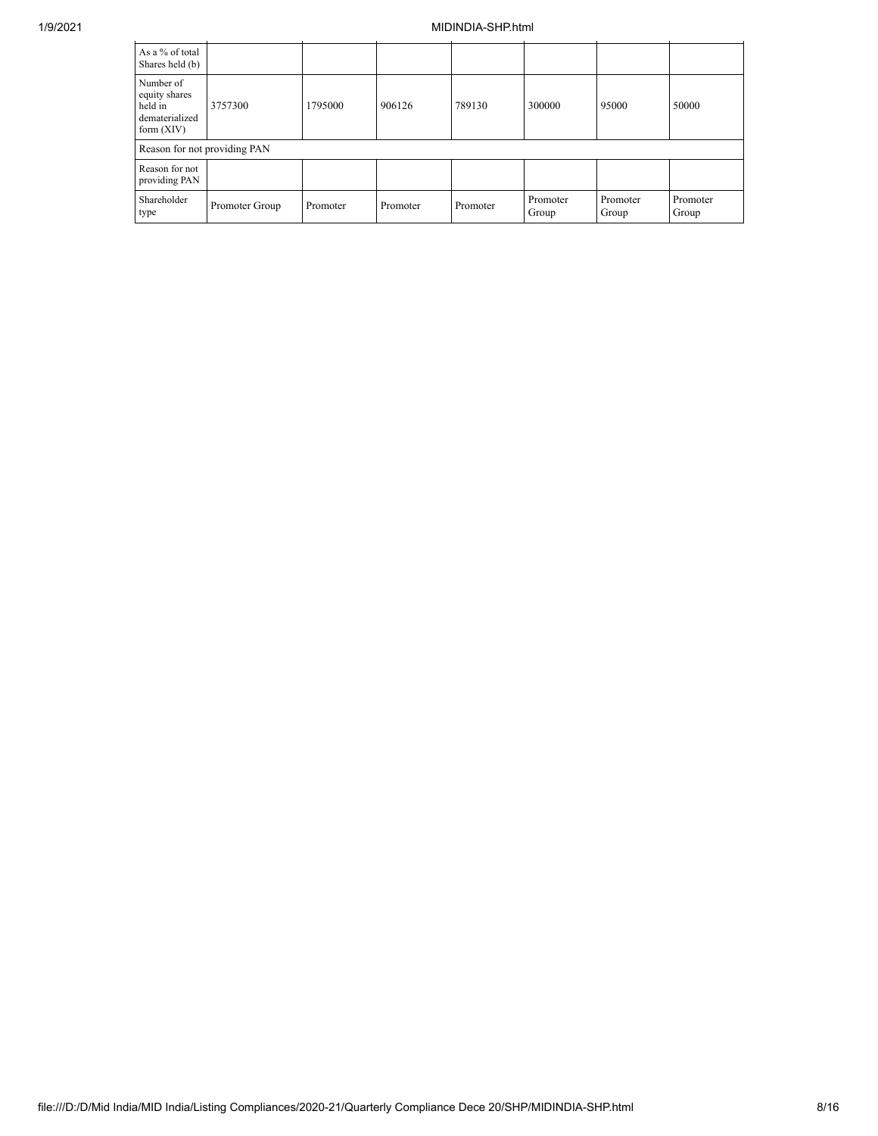## 1/9/2021 MIDINDIA-SHP.html

| As a % of total<br>Shares held (b)                                      |                              |          |          |          |                   |                   |                   |  |  |  |
|-------------------------------------------------------------------------|------------------------------|----------|----------|----------|-------------------|-------------------|-------------------|--|--|--|
| Number of<br>equity shares<br>held in<br>dematerialized<br>form $(XIV)$ | 3757300                      | 1795000  | 906126   | 789130   | 300000            | 95000             | 50000             |  |  |  |
|                                                                         | Reason for not providing PAN |          |          |          |                   |                   |                   |  |  |  |
| Reason for not<br>providing PAN                                         |                              |          |          |          |                   |                   |                   |  |  |  |
| Shareholder<br>type                                                     | Promoter Group               | Promoter | Promoter | Promoter | Promoter<br>Group | Promoter<br>Group | Promoter<br>Group |  |  |  |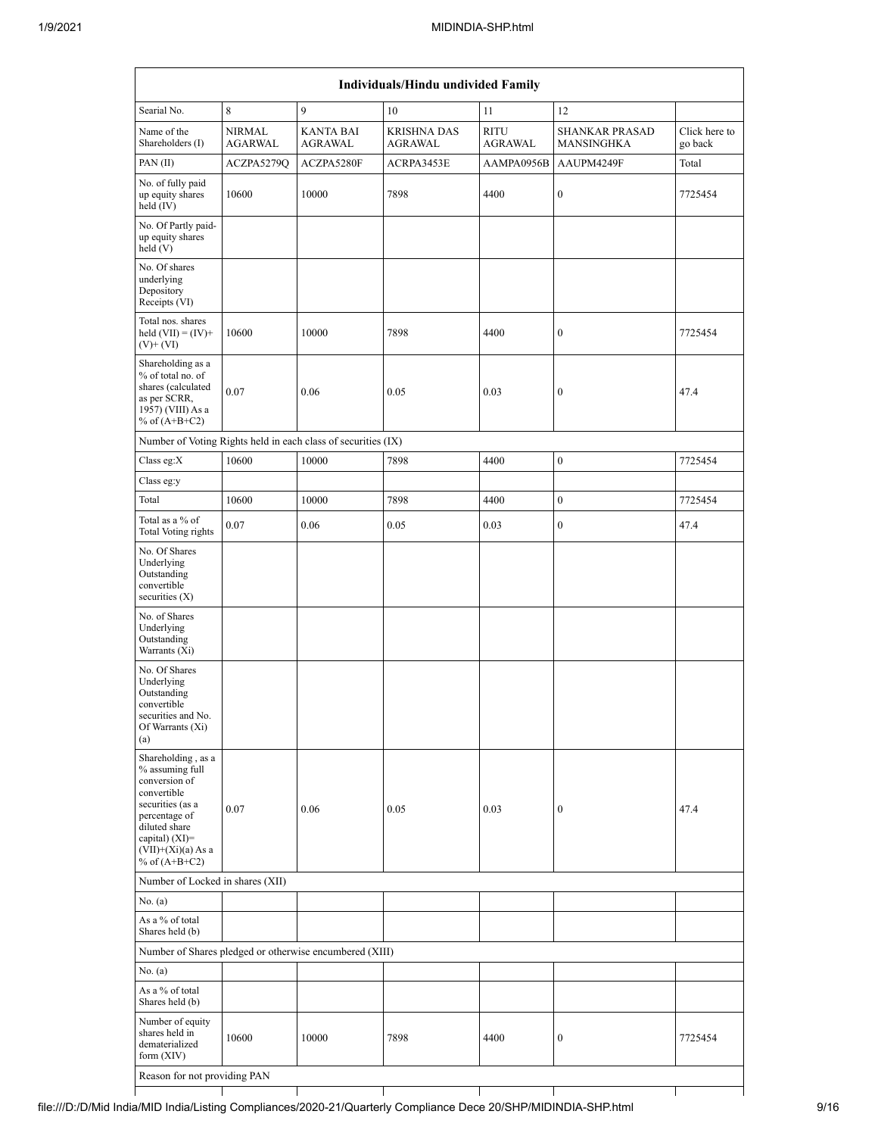| Individuals/Hindu undivided Family                                                                                   |                                 |                                                               |                               |                        |                                            |                          |  |  |  |  |
|----------------------------------------------------------------------------------------------------------------------|---------------------------------|---------------------------------------------------------------|-------------------------------|------------------------|--------------------------------------------|--------------------------|--|--|--|--|
| Searial No.                                                                                                          | $\,8\,$                         | 9                                                             | 10                            | 11                     | 12                                         |                          |  |  |  |  |
| Name of the<br>Shareholders (I)                                                                                      | <b>NIRMAL</b><br><b>AGARWAL</b> | <b>KANTA BAI</b><br>AGRAWAL                                   | <b>KRISHNA DAS</b><br>AGRAWAL | <b>RITU</b><br>AGRAWAL | <b>SHANKAR PRASAD</b><br><b>MANSINGHKA</b> | Click here to<br>go back |  |  |  |  |
| PAN (II)                                                                                                             | ACZPA5279Q                      | ACZPA5280F                                                    | ACRPA3453E                    | AAMPA0956B             | AAUPM4249F                                 | Total                    |  |  |  |  |
| No. of fully paid<br>up equity shares<br>held $(IV)$                                                                 | 10600                           | 10000                                                         | 7898                          | 4400                   | $\boldsymbol{0}$                           | 7725454                  |  |  |  |  |
| No. Of Partly paid-<br>up equity shares<br>held $(V)$                                                                |                                 |                                                               |                               |                        |                                            |                          |  |  |  |  |
| No. Of shares<br>underlying<br>Depository<br>Receipts (VI)                                                           |                                 |                                                               |                               |                        |                                            |                          |  |  |  |  |
| Total nos. shares<br>held $(VII) = (IV) +$<br>$(V)$ + $(VI)$                                                         | 10600                           | 10000                                                         | 7898                          | 4400                   | $\boldsymbol{0}$                           | 7725454                  |  |  |  |  |
| Shareholding as a<br>% of total no. of<br>shares (calculated<br>as per SCRR,<br>1957) (VIII) As a<br>% of $(A+B+C2)$ | 0.07                            | 0.06                                                          | 0.05                          | 0.03                   | $\boldsymbol{0}$                           | 47.4                     |  |  |  |  |
|                                                                                                                      |                                 | Number of Voting Rights held in each class of securities (IX) |                               |                        |                                            |                          |  |  |  |  |
| Class eg:X                                                                                                           | 10600                           | 10000                                                         | 7898                          | 4400                   | $\boldsymbol{0}$                           | 7725454                  |  |  |  |  |
| Class eg:y                                                                                                           |                                 |                                                               |                               |                        |                                            |                          |  |  |  |  |
| Total                                                                                                                | 10600                           | 10000                                                         | 7898                          | 4400                   | $\boldsymbol{0}$                           | 7725454                  |  |  |  |  |
| Total as a % of<br>Total Voting rights                                                                               | 0.07                            | 0.06                                                          | 0.05                          | 0.03                   | $\boldsymbol{0}$                           | 47.4                     |  |  |  |  |
| No. Of Shares<br>Underlying<br>Outstanding<br>convertible<br>securities $(X)$                                        |                                 |                                                               |                               |                        |                                            |                          |  |  |  |  |
| No. of Shares<br>Underlying<br>Outstanding<br>Warrants (Xi)                                                          |                                 |                                                               |                               |                        |                                            |                          |  |  |  |  |
| No. Of Shares<br>Underlying<br>Outstanding<br>convertible<br>securities and No.<br>Of Warrants (Xi)<br>(a)           |                                 |                                                               |                               |                        |                                            |                          |  |  |  |  |
| Shareholding, as a<br>% assuming full<br>conversion of<br>convertible<br>securities (as a<br>percentage of           | 0.07                            | 0.06                                                          | 0.05                          | 0.03                   | $\boldsymbol{0}$                           | 47.4                     |  |  |  |  |
| diluted share<br>capital) $(XI)=$<br>$(VII)+(Xi)(a) As a$<br>% of $(A+B+C2)$                                         |                                 |                                                               |                               |                        |                                            |                          |  |  |  |  |
| Number of Locked in shares (XII)                                                                                     |                                 |                                                               |                               |                        |                                            |                          |  |  |  |  |
| No. (a)                                                                                                              |                                 |                                                               |                               |                        |                                            |                          |  |  |  |  |
| As a % of total<br>Shares held (b)                                                                                   |                                 |                                                               |                               |                        |                                            |                          |  |  |  |  |
|                                                                                                                      |                                 | Number of Shares pledged or otherwise encumbered (XIII)       |                               |                        |                                            |                          |  |  |  |  |
| No. (a)                                                                                                              |                                 |                                                               |                               |                        |                                            |                          |  |  |  |  |
| As a % of total<br>Shares held (b)                                                                                   |                                 |                                                               |                               |                        |                                            |                          |  |  |  |  |
| Number of equity<br>shares held in<br>dematerialized<br>form $(XIV)$                                                 | 10600                           | 10000                                                         | 7898                          | 4400                   | $\boldsymbol{0}$                           | 7725454                  |  |  |  |  |
| Reason for not providing PAN                                                                                         |                                 |                                                               |                               |                        |                                            |                          |  |  |  |  |
|                                                                                                                      |                                 |                                                               |                               |                        |                                            |                          |  |  |  |  |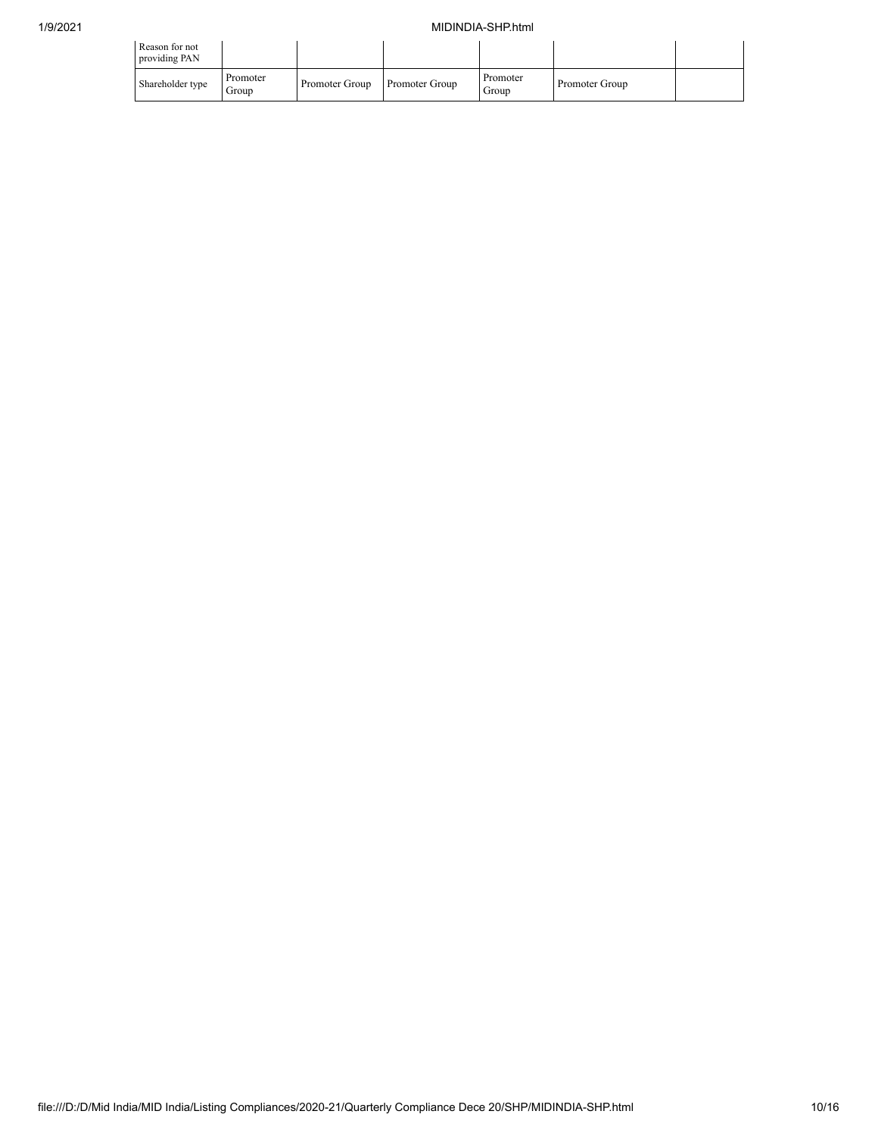## 1/9/2021 MIDINDIA-SHP.html

| Reason for not<br>providing PAN |                   |                |                |                   |                |  |
|---------------------------------|-------------------|----------------|----------------|-------------------|----------------|--|
| Shareholder type                | Promoter<br>Group | Promoter Group | Promoter Group | Promoter<br>Group | Promoter Group |  |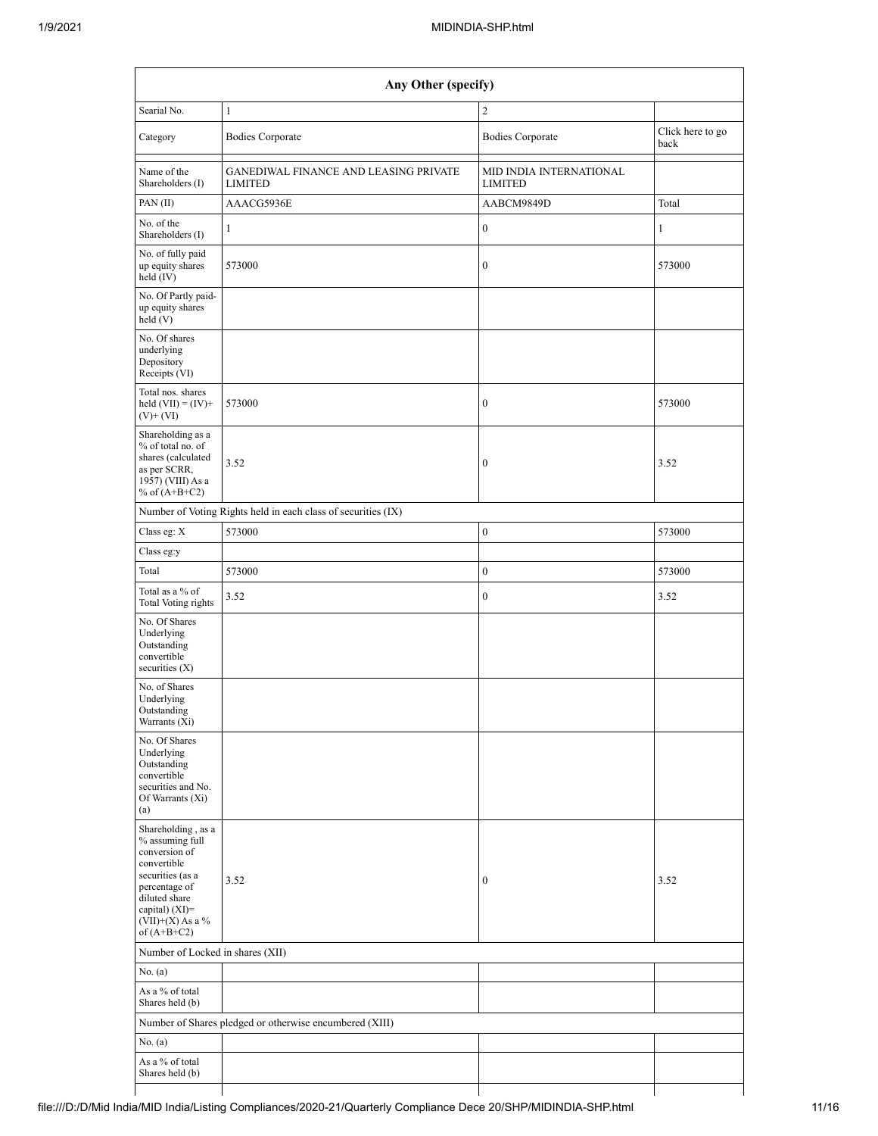| Any Other (specify)                                                                                                                                                                  |                                                               |                                           |                          |  |  |  |  |  |  |  |
|--------------------------------------------------------------------------------------------------------------------------------------------------------------------------------------|---------------------------------------------------------------|-------------------------------------------|--------------------------|--|--|--|--|--|--|--|
| Searial No.                                                                                                                                                                          | $\mathbf{1}$                                                  | $\overline{c}$                            |                          |  |  |  |  |  |  |  |
| Category                                                                                                                                                                             | <b>Bodies Corporate</b>                                       | <b>Bodies Corporate</b>                   | Click here to go<br>back |  |  |  |  |  |  |  |
| Name of the<br>Shareholders (I)                                                                                                                                                      | GANEDIWAL FINANCE AND LEASING PRIVATE<br><b>LIMITED</b>       | MID INDIA INTERNATIONAL<br><b>LIMITED</b> |                          |  |  |  |  |  |  |  |
| PAN(II)                                                                                                                                                                              | AAACG5936E                                                    | AABCM9849D                                | Total                    |  |  |  |  |  |  |  |
| No. of the<br>Shareholders (I)                                                                                                                                                       | $\mathbf{1}$                                                  | $\boldsymbol{0}$                          | $\mathbf{1}$             |  |  |  |  |  |  |  |
| No. of fully paid<br>up equity shares<br>$held$ (IV)                                                                                                                                 | 573000                                                        | $\boldsymbol{0}$                          | 573000                   |  |  |  |  |  |  |  |
| No. Of Partly paid-<br>up equity shares<br>held(V)                                                                                                                                   |                                                               |                                           |                          |  |  |  |  |  |  |  |
| No. Of shares<br>underlying<br>Depository<br>Receipts (VI)                                                                                                                           |                                                               |                                           |                          |  |  |  |  |  |  |  |
| Total nos. shares<br>held $(VII) = (IV) +$<br>$(V)$ + $(VI)$                                                                                                                         | 573000                                                        | $\boldsymbol{0}$                          | 573000                   |  |  |  |  |  |  |  |
| Shareholding as a<br>% of total no. of<br>shares (calculated<br>as per SCRR,<br>1957) (VIII) As a<br>% of $(A+B+C2)$                                                                 | 3.52                                                          | $\boldsymbol{0}$                          | 3.52                     |  |  |  |  |  |  |  |
|                                                                                                                                                                                      | Number of Voting Rights held in each class of securities (IX) |                                           |                          |  |  |  |  |  |  |  |
| Class eg: X                                                                                                                                                                          | 573000                                                        | $\boldsymbol{0}$                          | 573000                   |  |  |  |  |  |  |  |
| Class eg:y                                                                                                                                                                           |                                                               |                                           |                          |  |  |  |  |  |  |  |
| Total                                                                                                                                                                                | 573000                                                        | $\boldsymbol{0}$                          | 573000                   |  |  |  |  |  |  |  |
| Total as a % of<br>Total Voting rights                                                                                                                                               | 3.52                                                          | $\boldsymbol{0}$                          | 3.52                     |  |  |  |  |  |  |  |
| No. Of Shares<br>Underlying<br>Outstanding<br>convertible<br>securities $(X)$                                                                                                        |                                                               |                                           |                          |  |  |  |  |  |  |  |
| No. of Shares<br>Underlying<br>Outstanding<br>Warrants (Xi)                                                                                                                          |                                                               |                                           |                          |  |  |  |  |  |  |  |
| No. Of Shares<br>Underlying<br>Outstanding<br>convertible<br>securities and No.<br>Of Warrants (Xi)<br>(a)                                                                           |                                                               |                                           |                          |  |  |  |  |  |  |  |
| Shareholding, as a<br>% assuming full<br>conversion of<br>convertible<br>securities (as a<br>percentage of<br>diluted share<br>capital) (XI)=<br>$(VII)+(X)$ As a %<br>of $(A+B+C2)$ | 3.52                                                          | $\boldsymbol{0}$                          | 3.52                     |  |  |  |  |  |  |  |
|                                                                                                                                                                                      | Number of Locked in shares (XII)                              |                                           |                          |  |  |  |  |  |  |  |
| No. (a)                                                                                                                                                                              |                                                               |                                           |                          |  |  |  |  |  |  |  |
| As a % of total<br>Shares held (b)                                                                                                                                                   |                                                               |                                           |                          |  |  |  |  |  |  |  |
|                                                                                                                                                                                      | Number of Shares pledged or otherwise encumbered (XIII)       |                                           |                          |  |  |  |  |  |  |  |
| No. (a)                                                                                                                                                                              |                                                               |                                           |                          |  |  |  |  |  |  |  |
| As a % of total<br>Shares held (b)                                                                                                                                                   |                                                               |                                           |                          |  |  |  |  |  |  |  |
|                                                                                                                                                                                      |                                                               |                                           |                          |  |  |  |  |  |  |  |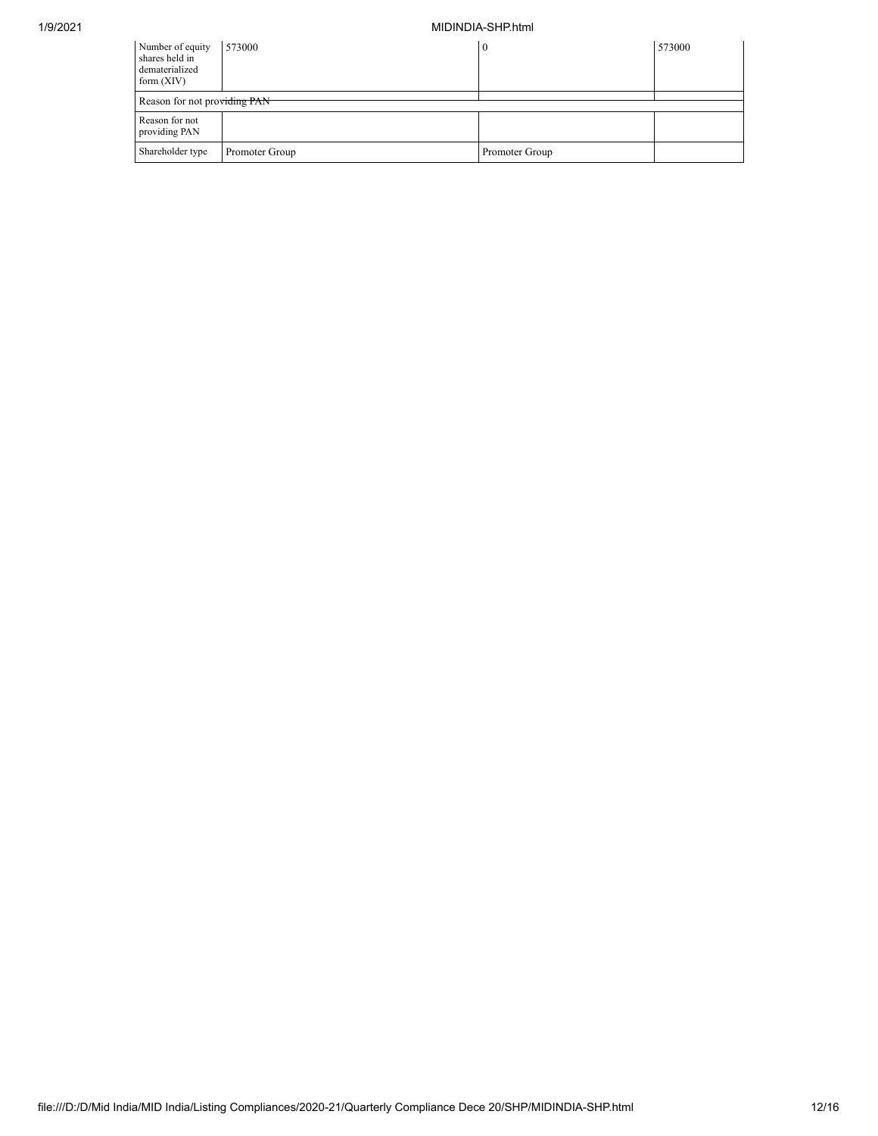## 1/9/2021 MIDINDIA-SHP.html

| Number of equity<br>shares held in<br>dematerialized<br>form $(XIV)$ | 573000                       | 0              | 573000 |  |  |  |  |  |  |
|----------------------------------------------------------------------|------------------------------|----------------|--------|--|--|--|--|--|--|
|                                                                      | Reason for not providing PAN |                |        |  |  |  |  |  |  |
| Reason for not<br>providing PAN                                      |                              |                |        |  |  |  |  |  |  |
| Shareholder type                                                     | Promoter Group               | Promoter Group |        |  |  |  |  |  |  |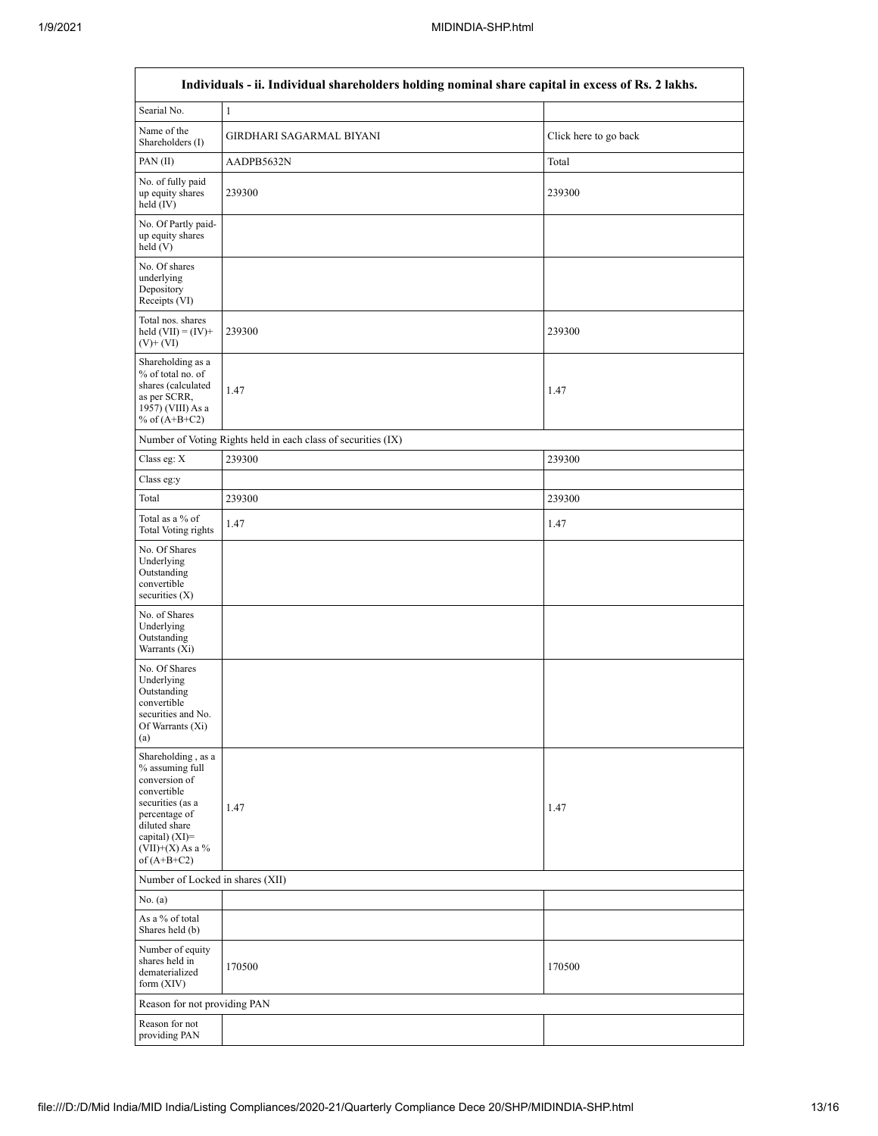| Individuals - ii. Individual shareholders holding nominal share capital in excess of Rs. 2 lakhs.                                                                                      |                                                               |                       |  |  |  |  |  |  |  |
|----------------------------------------------------------------------------------------------------------------------------------------------------------------------------------------|---------------------------------------------------------------|-----------------------|--|--|--|--|--|--|--|
| Searial No.                                                                                                                                                                            | $\mathbf{1}$                                                  |                       |  |  |  |  |  |  |  |
| Name of the<br>Shareholders (I)                                                                                                                                                        | GIRDHARI SAGARMAL BIYANI                                      | Click here to go back |  |  |  |  |  |  |  |
| PAN (II)                                                                                                                                                                               | AADPB5632N                                                    | Total                 |  |  |  |  |  |  |  |
| No. of fully paid<br>up equity shares<br>held $(IV)$                                                                                                                                   | 239300                                                        | 239300                |  |  |  |  |  |  |  |
| No. Of Partly paid-<br>up equity shares<br>held (V)                                                                                                                                    |                                                               |                       |  |  |  |  |  |  |  |
| No. Of shares<br>underlying<br>Depository<br>Receipts (VI)                                                                                                                             |                                                               |                       |  |  |  |  |  |  |  |
| Total nos. shares<br>held $(VII) = (IV) +$<br>$(V)$ + $(VI)$                                                                                                                           | 239300                                                        | 239300                |  |  |  |  |  |  |  |
| Shareholding as a<br>% of total no. of<br>shares (calculated<br>as per SCRR,<br>1957) (VIII) As a<br>% of $(A+B+C2)$                                                                   | 1.47                                                          | 1.47                  |  |  |  |  |  |  |  |
|                                                                                                                                                                                        | Number of Voting Rights held in each class of securities (IX) |                       |  |  |  |  |  |  |  |
| Class eg: $\mathbf X$                                                                                                                                                                  | 239300                                                        | 239300                |  |  |  |  |  |  |  |
| Class eg:y                                                                                                                                                                             |                                                               |                       |  |  |  |  |  |  |  |
| Total                                                                                                                                                                                  | 239300                                                        | 239300                |  |  |  |  |  |  |  |
| Total as a % of<br><b>Total Voting rights</b>                                                                                                                                          | 1.47                                                          | 1.47                  |  |  |  |  |  |  |  |
| No. Of Shares<br>Underlying<br>Outstanding<br>convertible<br>securities $(X)$                                                                                                          |                                                               |                       |  |  |  |  |  |  |  |
| No. of Shares<br>Underlying<br>Outstanding<br>Warrants (Xi)                                                                                                                            |                                                               |                       |  |  |  |  |  |  |  |
| No. Of Shares<br>Underlying<br>Outstanding<br>convertible<br>securities and No.<br>Of Warrants (Xi)<br>(a)                                                                             |                                                               |                       |  |  |  |  |  |  |  |
| Shareholding, as a<br>% assuming full<br>conversion of<br>convertible<br>securities (as a<br>percentage of<br>diluted share<br>capital) $(XI)=$<br>$(VII)+(X)$ As a %<br>of $(A+B+C2)$ | 1.47                                                          | 1.47                  |  |  |  |  |  |  |  |
| Number of Locked in shares (XII)                                                                                                                                                       |                                                               |                       |  |  |  |  |  |  |  |
| No. (a)                                                                                                                                                                                |                                                               |                       |  |  |  |  |  |  |  |
| As a % of total<br>Shares held (b)                                                                                                                                                     |                                                               |                       |  |  |  |  |  |  |  |
| Number of equity<br>shares held in<br>dematerialized<br>form $(XIV)$                                                                                                                   | 170500                                                        | 170500                |  |  |  |  |  |  |  |
| Reason for not providing PAN                                                                                                                                                           |                                                               |                       |  |  |  |  |  |  |  |
| Reason for not<br>providing PAN                                                                                                                                                        |                                                               |                       |  |  |  |  |  |  |  |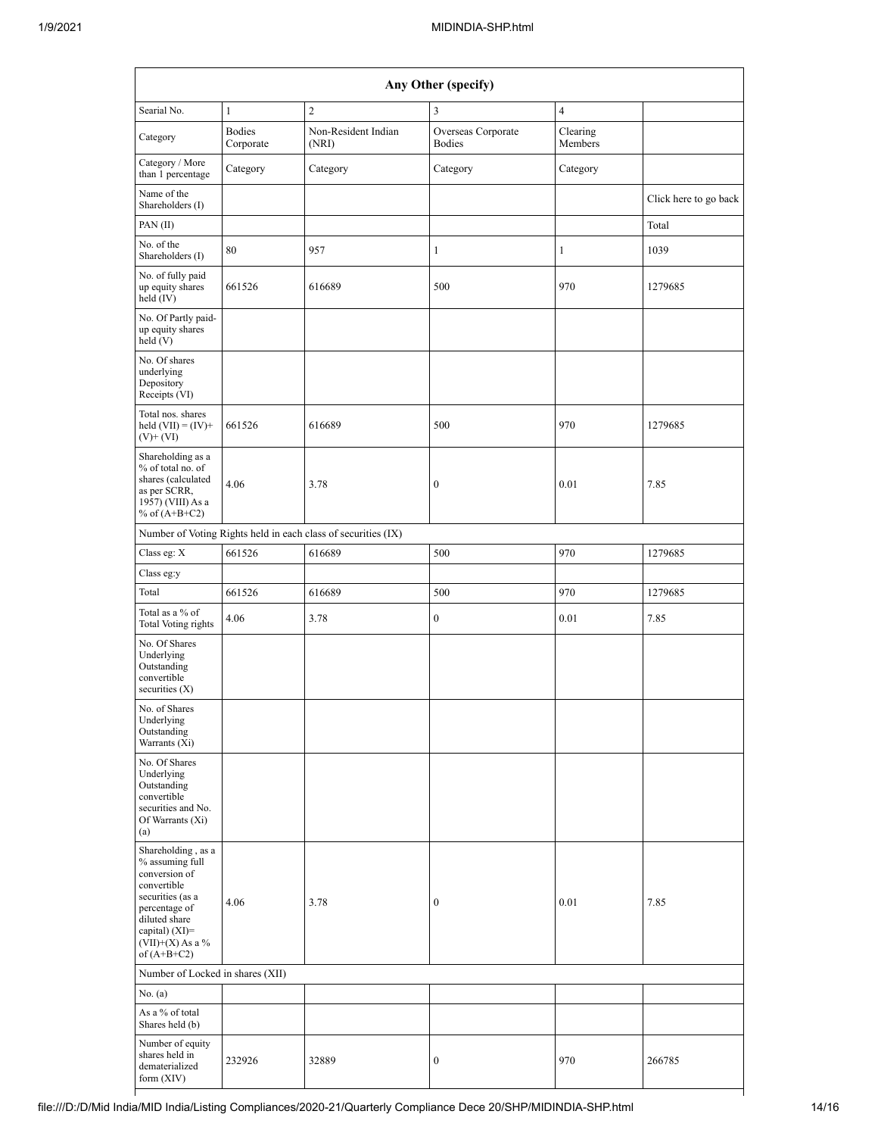| Any Other (specify)                                                                                                                                                                    |                            |                                                               |                                     |                     |                       |  |  |  |  |
|----------------------------------------------------------------------------------------------------------------------------------------------------------------------------------------|----------------------------|---------------------------------------------------------------|-------------------------------------|---------------------|-----------------------|--|--|--|--|
| Searial No.<br>$\mathbf{1}$                                                                                                                                                            |                            | $\overline{2}$                                                | $\overline{\mathbf{3}}$             | $\overline{4}$      |                       |  |  |  |  |
| Category                                                                                                                                                                               | <b>Bodies</b><br>Corporate | Non-Resident Indian<br>(NRI)                                  | Overseas Corporate<br><b>Bodies</b> | Clearing<br>Members |                       |  |  |  |  |
| Category / More<br>than 1 percentage                                                                                                                                                   | Category                   | Category                                                      | Category                            | Category            |                       |  |  |  |  |
| Name of the<br>Shareholders (I)                                                                                                                                                        |                            |                                                               |                                     |                     | Click here to go back |  |  |  |  |
| PAN (II)                                                                                                                                                                               |                            |                                                               |                                     |                     | Total                 |  |  |  |  |
| No. of the<br>Shareholders (I)                                                                                                                                                         | 80                         | 957                                                           | $\mathbf{1}$                        | 1                   | 1039                  |  |  |  |  |
| No. of fully paid<br>up equity shares<br>held $(IV)$                                                                                                                                   | 661526                     | 616689                                                        | 500                                 | 970                 | 1279685               |  |  |  |  |
| No. Of Partly paid-<br>up equity shares<br>held(V)                                                                                                                                     |                            |                                                               |                                     |                     |                       |  |  |  |  |
| No. Of shares<br>underlying<br>Depository<br>Receipts (VI)                                                                                                                             |                            |                                                               |                                     |                     |                       |  |  |  |  |
| Total nos. shares<br>held $(VII) = (IV) +$<br>$(V)$ + $(VI)$                                                                                                                           | 661526                     | 616689                                                        | 500                                 | 970                 | 1279685               |  |  |  |  |
| Shareholding as a<br>% of total no. of<br>shares (calculated<br>as per SCRR,<br>1957) (VIII) As a<br>% of $(A+B+C2)$                                                                   | 4.06                       | 3.78                                                          | $\boldsymbol{0}$<br>0.01            |                     | 7.85                  |  |  |  |  |
|                                                                                                                                                                                        |                            | Number of Voting Rights held in each class of securities (IX) |                                     |                     |                       |  |  |  |  |
| Class eg: X                                                                                                                                                                            | 661526                     | 616689                                                        | 500                                 | 970                 | 1279685               |  |  |  |  |
| Class eg:y                                                                                                                                                                             |                            |                                                               |                                     |                     |                       |  |  |  |  |
| Total                                                                                                                                                                                  | 661526                     | 616689                                                        | 500                                 | 970                 | 1279685               |  |  |  |  |
| Total as a % of<br>Total Voting rights                                                                                                                                                 | 4.06                       | 3.78                                                          | $\boldsymbol{0}$                    | 0.01                | 7.85                  |  |  |  |  |
| No. Of Shares<br>Underlying<br>Outstanding<br>convertible<br>securities $(X)$                                                                                                          |                            |                                                               |                                     |                     |                       |  |  |  |  |
| No. of Shares<br>Underlying<br>Outstanding<br>Warrants (Xi)                                                                                                                            |                            |                                                               |                                     |                     |                       |  |  |  |  |
| No. Of Shares<br>Underlying<br>Outstanding<br>convertible<br>securities and No.<br>Of Warrants (Xi)<br>(a)                                                                             |                            |                                                               |                                     |                     |                       |  |  |  |  |
| Shareholding, as a<br>% assuming full<br>conversion of<br>convertible<br>securities (as a<br>percentage of<br>diluted share<br>capital) $(XI)=$<br>$(VII)+(X)$ As a %<br>of $(A+B+C2)$ | 4.06                       | 3.78                                                          | $\boldsymbol{0}$                    | 0.01                | 7.85                  |  |  |  |  |
| Number of Locked in shares (XII)                                                                                                                                                       |                            |                                                               |                                     |                     |                       |  |  |  |  |
| No. $(a)$                                                                                                                                                                              |                            |                                                               |                                     |                     |                       |  |  |  |  |
| As a % of total<br>Shares held (b)                                                                                                                                                     |                            |                                                               |                                     |                     |                       |  |  |  |  |
| Number of equity<br>shares held in<br>dematerialized<br>form (XIV)                                                                                                                     | 232926                     | 32889                                                         | $\boldsymbol{0}$                    | 970                 | 266785                |  |  |  |  |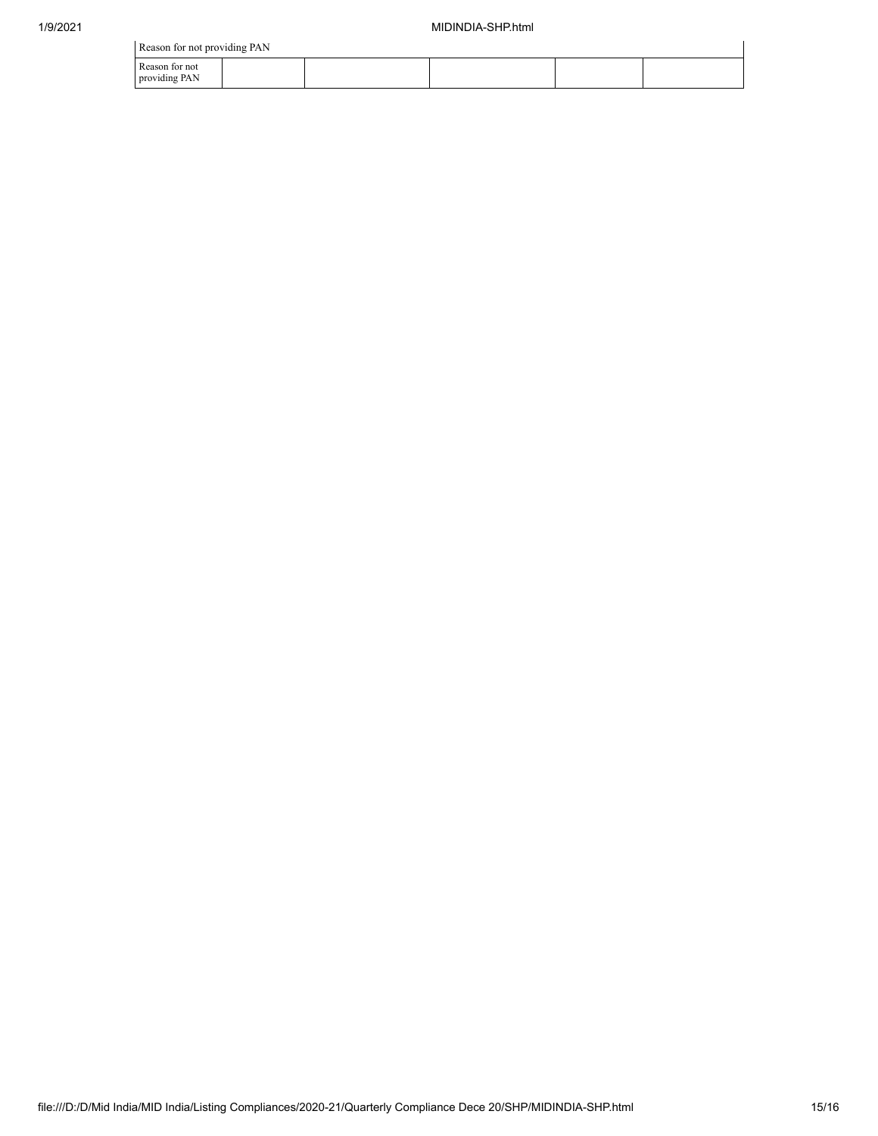$\ddot{\phantom{a}}$ 

| Reason for not providing PAN    |  |  |  |  |  |  |  |  |  |
|---------------------------------|--|--|--|--|--|--|--|--|--|
| Reason for not<br>providing PAN |  |  |  |  |  |  |  |  |  |